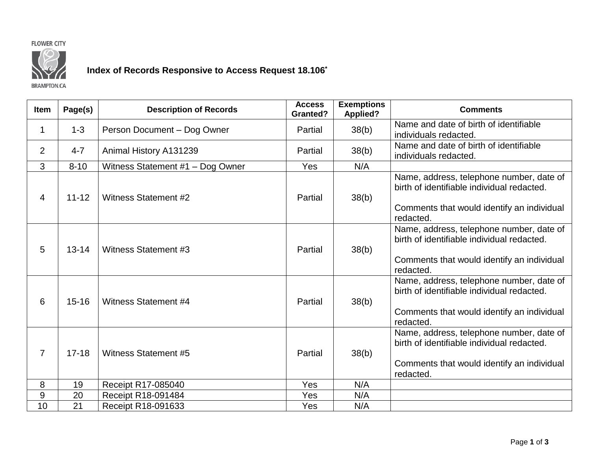## **FLOWER CITY**



## **Index of Records Responsive to Access Request 18.106\***

**BRAMPTON.CA** 

| <b>Item</b>    | Page(s)   | <b>Description of Records</b>    | <b>Access</b><br><b>Granted?</b> | <b>Exemptions</b><br><b>Applied?</b> | <b>Comments</b>                                                                                                                                   |
|----------------|-----------|----------------------------------|----------------------------------|--------------------------------------|---------------------------------------------------------------------------------------------------------------------------------------------------|
| $\mathbf 1$    | $1 - 3$   | Person Document - Dog Owner      | Partial                          | 38(b)                                | Name and date of birth of identifiable<br>individuals redacted.                                                                                   |
| 2              | $4 - 7$   | Animal History A131239           | Partial                          | 38(b)                                | Name and date of birth of identifiable<br>individuals redacted.                                                                                   |
| 3              | $8 - 10$  | Witness Statement #1 - Dog Owner | Yes                              | N/A                                  |                                                                                                                                                   |
| 4              | $11 - 12$ | Witness Statement #2             | Partial                          | 38(b)                                | Name, address, telephone number, date of<br>birth of identifiable individual redacted.<br>Comments that would identify an individual<br>redacted. |
| 5              | $13 - 14$ | Witness Statement #3             | Partial                          | 38(b)                                | Name, address, telephone number, date of<br>birth of identifiable individual redacted.<br>Comments that would identify an individual<br>redacted. |
| 6              | $15 - 16$ | <b>Witness Statement #4</b>      | Partial                          | 38(b)                                | Name, address, telephone number, date of<br>birth of identifiable individual redacted.<br>Comments that would identify an individual<br>redacted. |
| $\overline{7}$ | $17 - 18$ | Witness Statement #5             | Partial                          | 38(b)                                | Name, address, telephone number, date of<br>birth of identifiable individual redacted.<br>Comments that would identify an individual<br>redacted. |
| 8              | 19        | Receipt R17-085040               | Yes                              | N/A                                  |                                                                                                                                                   |
| 9              | 20        | Receipt R18-091484               | Yes                              | N/A                                  |                                                                                                                                                   |
| 10             | 21        | Receipt R18-091633               | Yes                              | N/A                                  |                                                                                                                                                   |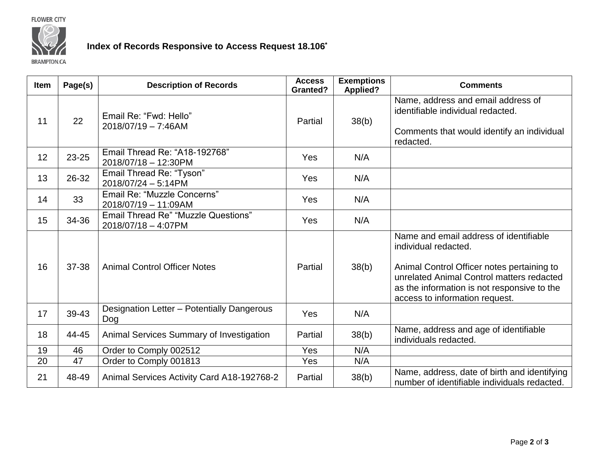**FLOWER CITY** 



## **Index of Records Responsive to Access Request 18.106\***

**BRAMPTON.CA** 

| <b>Item</b> | Page(s) | <b>Description of Records</b>                                     | <b>Access</b><br><b>Granted?</b> | <b>Exemptions</b><br><b>Applied?</b> | <b>Comments</b>                                                                                                                                                                                                                            |
|-------------|---------|-------------------------------------------------------------------|----------------------------------|--------------------------------------|--------------------------------------------------------------------------------------------------------------------------------------------------------------------------------------------------------------------------------------------|
| 11          | 22      | Email Re: "Fwd: Hello"<br>2018/07/19 - 7:46AM                     | Partial                          | 38(b)                                | Name, address and email address of<br>identifiable individual redacted.<br>Comments that would identify an individual<br>redacted.                                                                                                         |
| 12          | 23-25   | Email Thread Re: "A18-192768"<br>2018/07/18 - 12:30PM             | Yes                              | N/A                                  |                                                                                                                                                                                                                                            |
| 13          | 26-32   | Email Thread Re: "Tyson"<br>2018/07/24 - 5:14PM                   | Yes                              | N/A                                  |                                                                                                                                                                                                                                            |
| 14          | 33      | Email Re: "Muzzle Concerns"<br>2018/07/19 - 11:09AM               | <b>Yes</b>                       | N/A                                  |                                                                                                                                                                                                                                            |
| 15          | 34-36   | <b>Email Thread Re" "Muzzle Questions"</b><br>2018/07/18 - 4:07PM | Yes                              | N/A                                  |                                                                                                                                                                                                                                            |
| 16          | 37-38   | <b>Animal Control Officer Notes</b>                               | Partial                          | 38(b)                                | Name and email address of identifiable<br>individual redacted.<br>Animal Control Officer notes pertaining to<br>unrelated Animal Control matters redacted<br>as the information is not responsive to the<br>access to information request. |
| 17          | 39-43   | Designation Letter - Potentially Dangerous<br>Dog                 | Yes                              | N/A                                  |                                                                                                                                                                                                                                            |
| 18          | 44-45   | Animal Services Summary of Investigation                          | Partial                          | 38(b)                                | Name, address and age of identifiable<br>individuals redacted.                                                                                                                                                                             |
| 19          | 46      | Order to Comply 002512                                            | Yes                              | N/A                                  |                                                                                                                                                                                                                                            |
| 20          | 47      | Order to Comply 001813                                            | Yes                              | N/A                                  |                                                                                                                                                                                                                                            |
| 21          | 48-49   | Animal Services Activity Card A18-192768-2                        | Partial                          | 38(b)                                | Name, address, date of birth and identifying<br>number of identifiable individuals redacted.                                                                                                                                               |